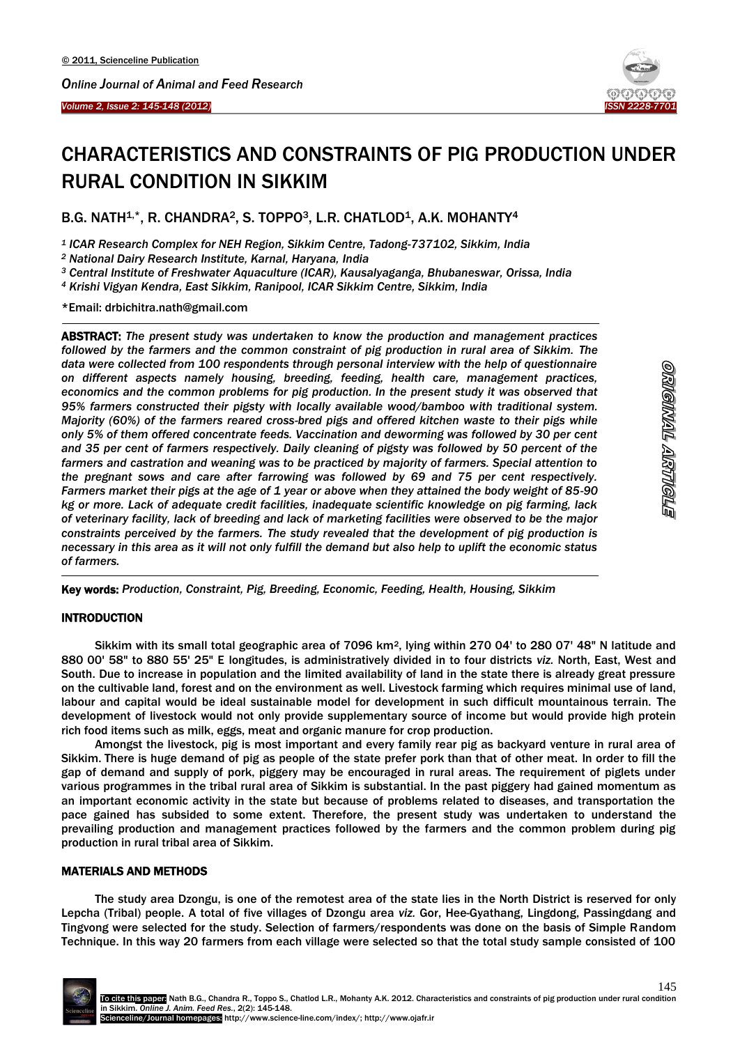

# CHARACTERISTICS AND CONSTRAINTS OF PIG PRODUCTION UNDER RURAL CONDITION IN SIKKIM

B.G. NATH<sup>1,\*</sup>, R. CHANDRA<sup>2</sup>, S. TOPPO<sup>3</sup>, L.R. CHATLOD<sup>1</sup>, A.K. MOHANTY<sup>4</sup>

*<sup>1</sup> ICAR Research Complex for NEH Region, Sikkim Centre, Tadong-737102, Sikkim, India*

*<sup>2</sup> National Dairy Research Institute, Karnal, Haryana, India*

*<sup>3</sup> Central Institute of Freshwater Aquaculture (ICAR), Kausalyaganga, Bhubaneswar, Orissa, India*

*<sup>4</sup> Krishi Vigyan Kendra, East Sikkim, Ranipool, ICAR Sikkim Centre, Sikkim, India*

\*Email: drbichitra.nath@gmail.com

 $\overline{\phantom{a}}$ 

ABSTRACT: *The present study was undertaken to know the production and management practices followed by the farmers and the common constraint of pig production in rural area of Sikkim. The data were collected from 100 respondents through personal interview with the help of questionnaire on different aspects namely housing, breeding, feeding, health care, management practices, economics and the common problems for pig production. In the present study it was observed that 95% farmers constructed their pigsty with locally available wood/bamboo with traditional system. Majority (60%) of the farmers reared cross-bred pigs and offered kitchen waste to their pigs while only 5% of them offered concentrate feeds. Vaccination and deworming was followed by 30 per cent and 35 per cent of farmers respectively. Daily cleaning of pigsty was followed by 50 percent of the farmers and castration and weaning was to be practiced by majority of farmers. Special attention to the pregnant sows and care after farrowing was followed by 69 and 75 per cent respectively. Farmers market their pigs at the age of 1 year or above when they attained the body weight of 85-90 kg or more. Lack of adequate credit facilities, inadequate scientific knowledge on pig farming, lack of veterinary facility, lack of breeding and lack of marketing facilities were observed to be the major constraints perceived by the farmers. The study revealed that the development of pig production is necessary in this area as it will not only fulfill the demand but also help to uplift the economic status of farmers.*

-Key words: *Production, Constraint, Pig, Breeding, Economic, Feeding, Health, Housing, Sikkim*

## **INTRODUCTION**

Sikkim with its small total geographic area of 7096 km<sup>2</sup>, lying within 270 04' to 280 07' 48" N latitude and 880 00' 58" to 880 55' 25" E longitudes, is administratively divided in to four districts *viz.* North, East, West and South. Due to increase in population and the limited availability of land in the state there is already great pressure on the cultivable land, forest and on the environment as well. Livestock farming which requires minimal use of land, labour and capital would be ideal sustainable model for development in such difficult mountainous terrain. The development of livestock would not only provide supplementary source of income but would provide high protein rich food items such as milk, eggs, meat and organic manure for crop production.

Amongst the livestock, pig is most important and every family rear pig as backyard venture in rural area of Sikkim. There is huge demand of pig as people of the state prefer pork than that of other meat. In order to fill the gap of demand and supply of pork, piggery may be encouraged in rural areas. The requirement of piglets under various programmes in the tribal rural area of Sikkim is substantial. In the past piggery had gained momentum as an important economic activity in the state but because of problems related to diseases, and transportation the pace gained has subsided to some extent. Therefore, the present study was undertaken to understand the prevailing production and management practices followed by the farmers and the common problem during pig production in rural tribal area of Sikkim.

#### MATERIALS AND METHODS

The study area Dzongu, is one of the remotest area of the state lies in the North District is reserved for only Lepcha (Tribal) people. A total of five villages of Dzongu area *viz.* Gor, Hee-Gyathang, Lingdong, Passingdang and Tingvong were selected for the study. Selection of farmers/respondents was done on the basis of Simple Random Technique. In this way 20 farmers from each village were selected so that the total study sample consisted of 100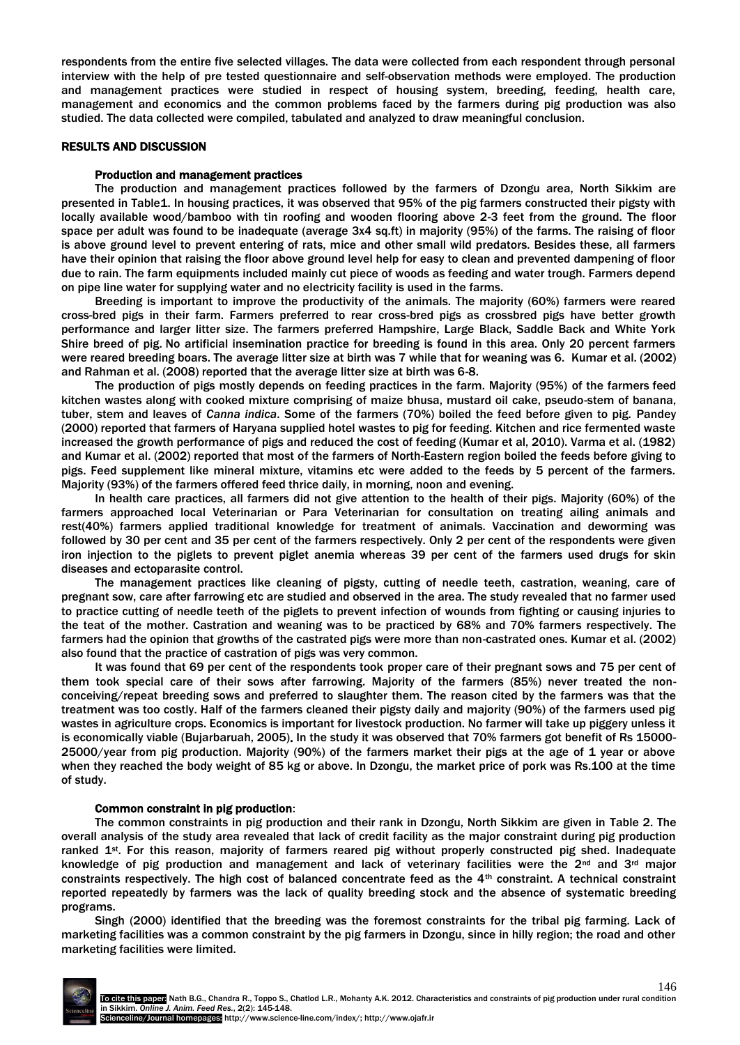respondents from the entire five selected villages. The data were collected from each respondent through personal interview with the help of pre tested questionnaire and self-observation methods were employed. The production and management practices were studied in respect of housing system, breeding, feeding, health care, management and economics and the common problems faced by the farmers during pig production was also studied. The data collected were compiled, tabulated and analyzed to draw meaningful conclusion.

## RESULTS AND DISCUSSION

## Production and management practices

The production and management practices followed by the farmers of Dzongu area, North Sikkim are presented in Table1. In housing practices, it was observed that 95% of the pig farmers constructed their pigsty with locally available wood/bamboo with tin roofing and wooden flooring above 2-3 feet from the ground. The floor space per adult was found to be inadequate (average 3x4 sq.ft) in majority (95%) of the farms. The raising of floor is above ground level to prevent entering of rats, mice and other small wild predators. Besides these, all farmers have their opinion that raising the floor above ground level help for easy to clean and prevented dampening of floor due to rain. The farm equipments included mainly cut piece of woods as feeding and water trough. Farmers depend on pipe line water for supplying water and no electricity facility is used in the farms.

Breeding is important to improve the productivity of the animals. The majority (60%) farmers were reared cross-bred pigs in their farm. Farmers preferred to rear cross-bred pigs as crossbred pigs have better growth performance and larger litter size. The farmers preferred Hampshire, Large Black, Saddle Back and White York Shire breed of pig. No artificial insemination practice for breeding is found in this area. Only 20 percent farmers were reared breeding boars. The average litter size at birth was 7 while that for weaning was 6. Kumar et al. (2002) and Rahman et al. (2008) reported that the average litter size at birth was 6-8.

The production of pigs mostly depends on feeding practices in the farm. Majority (95%) of the farmers feed kitchen wastes along with cooked mixture comprising of maize bhusa, mustard oil cake, pseudo-stem of banana, tuber, stem and leaves of *Canna indica*. Some of the farmers (70%) boiled the feed before given to pig. Pandey (2000) reported that farmers of Haryana supplied hotel wastes to pig for feeding. Kitchen and rice fermented waste increased the growth performance of pigs and reduced the cost of feeding (Kumar et al, 2010). Varma et al. (1982) and Kumar et al. (2002) reported that most of the farmers of North-Eastern region boiled the feeds before giving to pigs. Feed supplement like mineral mixture, vitamins etc were added to the feeds by 5 percent of the farmers. Majority (93%) of the farmers offered feed thrice daily, in morning, noon and evening.

In health care practices, all farmers did not give attention to the health of their pigs. Majority (60%) of the farmers approached local Veterinarian or Para Veterinarian for consultation on treating ailing animals and rest(40%) farmers applied traditional knowledge for treatment of animals. Vaccination and deworming was followed by 30 per cent and 35 per cent of the farmers respectively. Only 2 per cent of the respondents were given iron injection to the piglets to prevent piglet anemia whereas 39 per cent of the farmers used drugs for skin diseases and ectoparasite control.

The management practices like cleaning of pigsty, cutting of needle teeth, castration, weaning, care of pregnant sow, care after farrowing etc are studied and observed in the area. The study revealed that no farmer used to practice cutting of needle teeth of the piglets to prevent infection of wounds from fighting or causing injuries to the teat of the mother. Castration and weaning was to be practiced by 68% and 70% farmers respectively. The farmers had the opinion that growths of the castrated pigs were more than non-castrated ones. Kumar et al. (2002) also found that the practice of castration of pigs was very common.

It was found that 69 per cent of the respondents took proper care of their pregnant sows and 75 per cent of them took special care of their sows after farrowing. Majority of the farmers (85%) never treated the nonconceiving/repeat breeding sows and preferred to slaughter them. The reason cited by the farmers was that the treatment was too costly. Half of the farmers cleaned their pigsty daily and majority (90%) of the farmers used pig wastes in agriculture crops. Economics is important for livestock production. No farmer will take up piggery unless it is economically viable (Bujarbaruah, 2005). In the study it was observed that 70% farmers got benefit of Rs 15000- 25000/year from pig production. Majority (90%) of the farmers market their pigs at the age of 1 year or above when they reached the body weight of 85 kg or above. In Dzongu, the market price of pork was Rs.100 at the time of study.

#### Common constraint in pig production:

The common constraints in pig production and their rank in Dzongu, North Sikkim are given in Table 2. The overall analysis of the study area revealed that lack of credit facility as the major constraint during pig production ranked 1<sup>st</sup>. For this reason, majority of farmers reared pig without properly constructed pig shed. Inadequate knowledge of pig production and management and lack of veterinary facilities were the  $2^{nd}$  and  $3^{rd}$  major constraints respectively. The high cost of balanced concentrate feed as the 4th constraint. A technical constraint reported repeatedly by farmers was the lack of quality breeding stock and the absence of systematic breeding programs.

Singh (2000) identified that the breeding was the foremost constraints for the tribal pig farming. Lack of marketing facilities was a common constraint by the pig farmers in Dzongu, since in hilly region; the road and other marketing facilities were limited.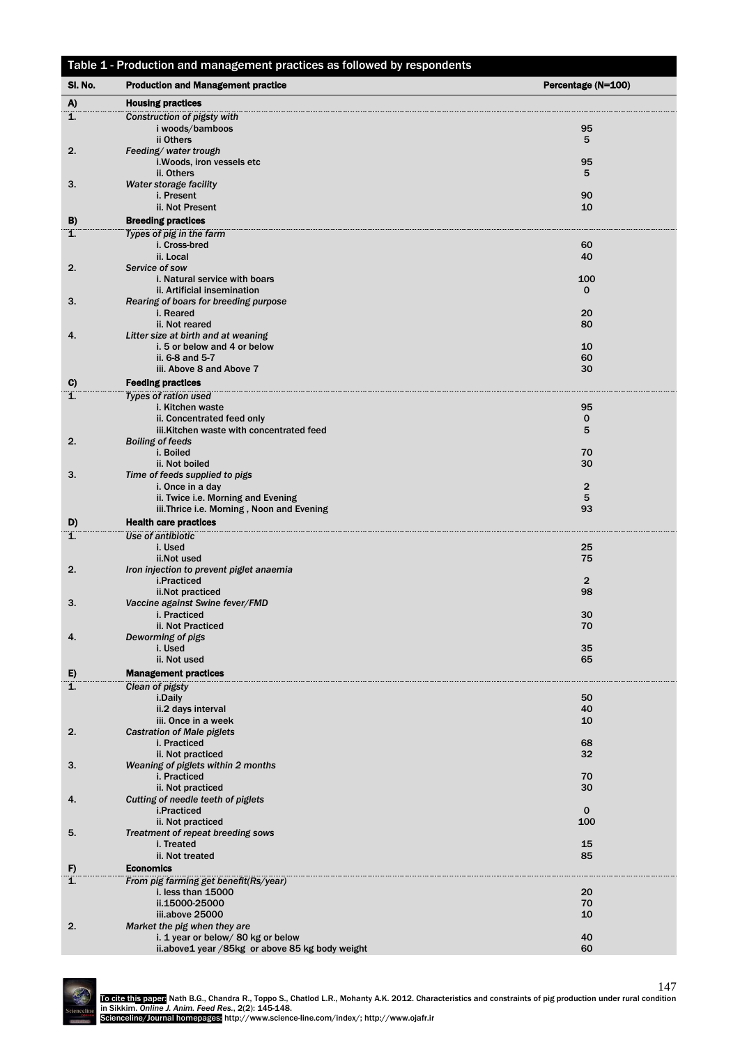| Table 1 - Production and management practices as followed by respondents |                                                                        |                    |  |  |  |
|--------------------------------------------------------------------------|------------------------------------------------------------------------|--------------------|--|--|--|
| SI. No.                                                                  | <b>Production and Management practice</b>                              | Percentage (N=100) |  |  |  |
| A)                                                                       | <b>Housing practices</b>                                               |                    |  |  |  |
| 1.                                                                       | Construction of pigsty with                                            |                    |  |  |  |
|                                                                          | i woods/bamboos                                                        | 95                 |  |  |  |
|                                                                          | ii Others                                                              | 5                  |  |  |  |
| 2.                                                                       | Feeding/water trough<br>i. Woods, iron vessels etc                     | 95                 |  |  |  |
|                                                                          | ii. Others                                                             | 5                  |  |  |  |
| 3.                                                                       | Water storage facility                                                 |                    |  |  |  |
|                                                                          | i. Present                                                             | 90                 |  |  |  |
|                                                                          | ii. Not Present                                                        | 10                 |  |  |  |
| B)<br>1.                                                                 | <b>Breeding practices</b><br>Types of pig in the farm                  |                    |  |  |  |
|                                                                          | i. Cross-bred                                                          | 60                 |  |  |  |
|                                                                          | ii. Local                                                              | 40                 |  |  |  |
| 2.                                                                       | Service of sow                                                         |                    |  |  |  |
|                                                                          | i. Natural service with boars                                          | 100                |  |  |  |
| 3.                                                                       | ii. Artificial insemination<br>Rearing of boars for breeding purpose   | $\mathbf{0}$       |  |  |  |
|                                                                          | i. Reared                                                              | 20                 |  |  |  |
|                                                                          | ii. Not reared                                                         | 80                 |  |  |  |
| 4.                                                                       | Litter size at birth and at weaning                                    |                    |  |  |  |
|                                                                          | i. 5 or below and 4 or below<br>ii. 6-8 and 5-7                        | 10<br>60           |  |  |  |
|                                                                          | iii. Above 8 and Above 7                                               | 30                 |  |  |  |
| C)                                                                       | <b>Feeding practices</b>                                               |                    |  |  |  |
| 1.                                                                       | <b>Types of ration used</b>                                            |                    |  |  |  |
|                                                                          | i. Kitchen waste                                                       | 95                 |  |  |  |
|                                                                          | ii. Concentrated feed only<br>iii.Kitchen waste with concentrated feed | 0<br>5             |  |  |  |
| 2.                                                                       | <b>Boiling of feeds</b>                                                |                    |  |  |  |
|                                                                          | i. Boiled                                                              | 70                 |  |  |  |
|                                                                          | ii. Not boiled                                                         | 30                 |  |  |  |
| 3.                                                                       | Time of feeds supplied to pigs<br>i. Once in a day                     | $\overline{2}$     |  |  |  |
|                                                                          | ii. Twice i.e. Morning and Evening                                     | 5                  |  |  |  |
|                                                                          | iii.Thrice i.e. Morning, Noon and Evening                              | 93                 |  |  |  |
| D)                                                                       | <b>Health care practices</b>                                           |                    |  |  |  |
| 1.                                                                       | Use of antibiotic                                                      |                    |  |  |  |
|                                                                          | i. Used                                                                | 25                 |  |  |  |
| 2.                                                                       | ii.Not used<br>Iron injection to prevent piglet anaemia                | 75                 |  |  |  |
|                                                                          | i.Practiced                                                            | $\overline{2}$     |  |  |  |
|                                                                          | ii.Not practiced                                                       | 98                 |  |  |  |
| 3.                                                                       | Vaccine against Swine fever/FMD                                        |                    |  |  |  |
|                                                                          | i. Practiced<br>ii. Not Practiced                                      | 30<br>70           |  |  |  |
| 4.                                                                       | Deworming of pigs                                                      |                    |  |  |  |
|                                                                          | i. Used                                                                | 35                 |  |  |  |
|                                                                          | ii. Not used                                                           | 65                 |  |  |  |
| E)                                                                       | <b>Management practices</b>                                            |                    |  |  |  |
| 1.                                                                       | Clean of pigsty<br>i.Daily                                             | 50                 |  |  |  |
|                                                                          | ii.2 days interval                                                     | 40                 |  |  |  |
|                                                                          | iii. Once in a week                                                    | 10                 |  |  |  |
| 2.                                                                       | <b>Castration of Male piglets</b>                                      |                    |  |  |  |
|                                                                          | i. Practiced<br>ii. Not practiced                                      | 68<br>32           |  |  |  |
| 3.                                                                       | Weaning of piglets within 2 months                                     |                    |  |  |  |
|                                                                          | i. Practiced                                                           | 70                 |  |  |  |
|                                                                          | ii. Not practiced                                                      | 30                 |  |  |  |
| 4.                                                                       | Cutting of needle teeth of piglets<br>i.Practiced                      | $\mathbf 0$        |  |  |  |
|                                                                          | ii. Not practiced                                                      | 100                |  |  |  |
| 5.                                                                       | Treatment of repeat breeding sows                                      |                    |  |  |  |
|                                                                          | i. Treated                                                             | 15                 |  |  |  |
|                                                                          | ii. Not treated                                                        | 85                 |  |  |  |
| F)<br>1.                                                                 | <b>Economics</b><br>From pig farming get benefit(Rs/year)              |                    |  |  |  |
|                                                                          | i. less than 15000                                                     | 20                 |  |  |  |
|                                                                          | ii.15000-25000                                                         | 70                 |  |  |  |
|                                                                          | iii.above 25000                                                        | 10                 |  |  |  |
| 2.                                                                       | Market the pig when they are<br>i. 1 year or below/ 80 kg or below     | 40                 |  |  |  |
|                                                                          | ii.above1 year / 85kg or above 85 kg body weight                       | 60                 |  |  |  |
|                                                                          |                                                                        |                    |  |  |  |